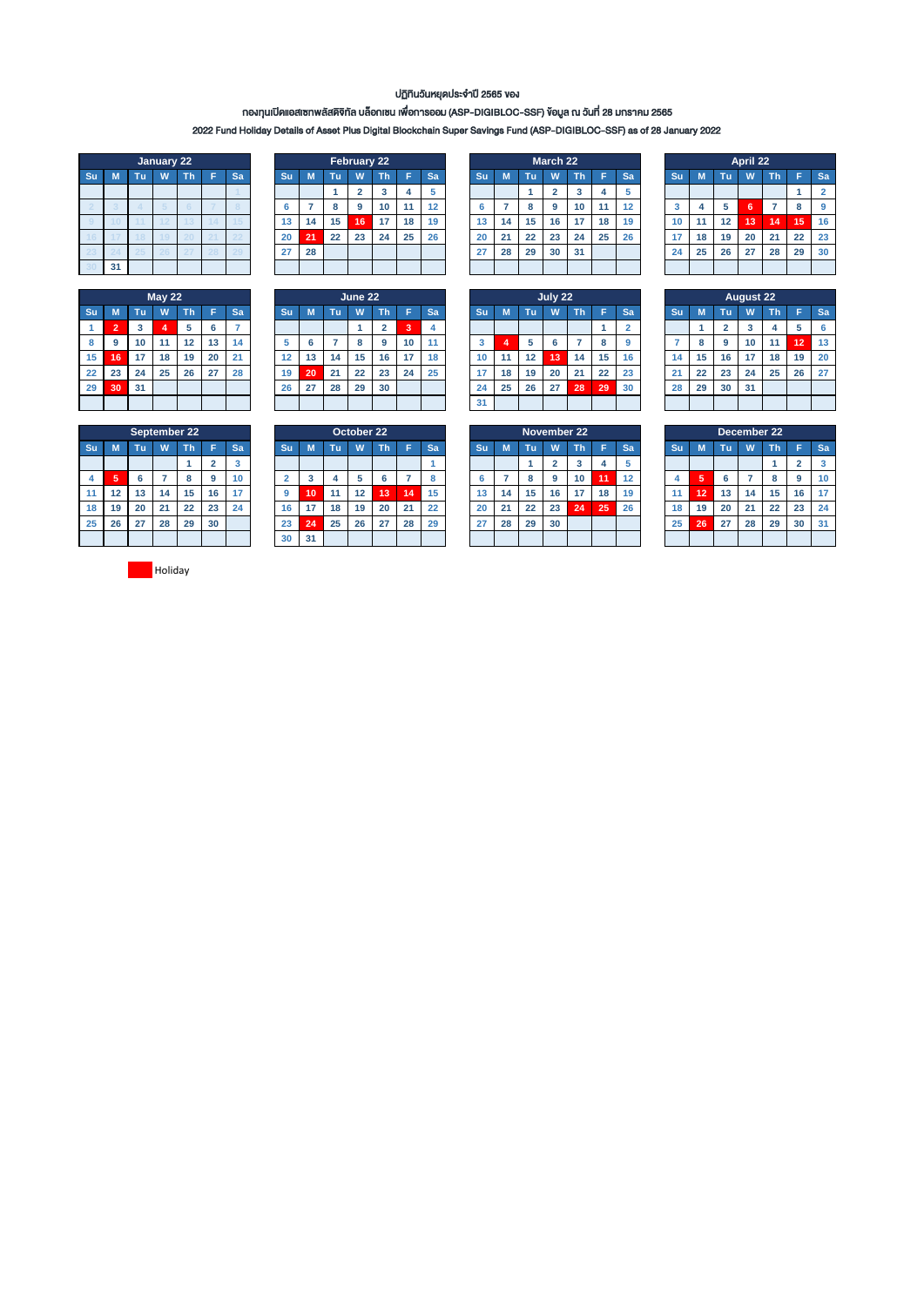### ปฏิทินวันหยุดประจ ำปี 2565 ของ

## กองทุนเปิดแอสเซทพลัสดิจิทัล บล็อกเชน เพื่อกำรออม (ASP-DIGIBLOC-SSF) ข้อมูล ณ วันที่ 28 มกรำคม 2565

2022 Fund Holiday Details of Asset Plus Digital Blockchain Super Savings Fund (ASP-DIGIBLOC-SSF) as of 28 January 2022

|    | January 22 |    |   |    |   |    |  |  |  |  |  |  |  |  |  |
|----|------------|----|---|----|---|----|--|--|--|--|--|--|--|--|--|
| Su | M          | Tu | W | Th | F | Sa |  |  |  |  |  |  |  |  |  |
|    |            |    |   |    |   |    |  |  |  |  |  |  |  |  |  |
|    |            |    |   |    |   |    |  |  |  |  |  |  |  |  |  |
| ö  |            |    |   | 3  |   |    |  |  |  |  |  |  |  |  |  |
|    |            |    |   |    |   |    |  |  |  |  |  |  |  |  |  |
|    |            | 5  |   |    |   |    |  |  |  |  |  |  |  |  |  |
|    |            |    |   |    |   |    |  |  |  |  |  |  |  |  |  |

|    | May <sub>22</sub> |    |    |    |    |    |  |  |  |  |  |  |  |  |
|----|-------------------|----|----|----|----|----|--|--|--|--|--|--|--|--|
| Su | M                 | Tu | W  | Th | F  | Sa |  |  |  |  |  |  |  |  |
| 1  | $\overline{2}$    | 3  | 4  | 5  | 6  |    |  |  |  |  |  |  |  |  |
| 8  | 9                 | 10 | 11 | 12 | 13 | 14 |  |  |  |  |  |  |  |  |
| 15 | 16                | 17 | 18 | 19 | 20 | 21 |  |  |  |  |  |  |  |  |
| 22 | 23                | 24 | 25 | 26 | 27 | 28 |  |  |  |  |  |  |  |  |
| 29 | 30                | 31 |    |    |    |    |  |  |  |  |  |  |  |  |
|    |                   |    |    |    |    |    |  |  |  |  |  |  |  |  |

|    |    |    | January 22 |    |    |           |    |    | February 22 |     |    |    |    |    |    | March 22 |    |    |           |    |    |    | April 22 |    |    |           |
|----|----|----|------------|----|----|-----------|----|----|-------------|-----|----|----|----|----|----|----------|----|----|-----------|----|----|----|----------|----|----|-----------|
| Su | M  | Τu | w          | ٦ħ | Sa | <b>Su</b> |    | Πū | W           | Th' |    | Sa | Su |    | Tu | W        | Th | н  | <b>Sa</b> | Su |    | Tu | W        | Th | Е. | <b>Sa</b> |
|    |    |    |            |    |    |           |    |    |             |     |    |    |    |    |    |          |    |    |           |    |    |    |          |    |    | ٥         |
|    |    |    |            |    |    |           |    |    |             | 10  | 11 | 12 | 'n |    |    | 9        | 10 |    | 12        |    |    | 5  |          |    |    | g         |
|    |    |    |            |    |    | 13        | 14 | 15 | 16          |     | 18 | 19 | 13 | 14 | 15 | 16       | 17 | 18 | 19        | 10 | 11 | 12 | 13       | 14 | 15 | 16        |
|    |    |    |            | -- | -- | 20        | 21 | 22 | 23          | 24  | 25 | 26 | 20 | 21 | 22 | 23       | 24 | 25 | 26        | 17 | 18 | 19 | 20       | 21 | 22 | 23        |
|    |    |    |            |    |    | 27        | 28 |    |             |     |    |    | 27 | 28 | 29 | 30       | 31 |    |           | 24 | 25 | 26 | 27       | 28 | 29 | 30        |
|    | 31 |    |            |    |    |           |    |    |             |     |    |    |    |    |    |          |    |    |           |    |    |    |          |    |    |           |

|    |    |    | <b>May 22</b> |    |    |    |     |    |    | June 22 |    |    |    |    |    |    | July 22 |    |     |           |     |    |    | <b>August 22</b> |    |                 |           |
|----|----|----|---------------|----|----|----|-----|----|----|---------|----|----|----|----|----|----|---------|----|-----|-----------|-----|----|----|------------------|----|-----------------|-----------|
| Su | M  | Τu | W             | Th |    | Sa | Su. |    | Τu | W       | Th |    | Sa | Su |    | Чħ | W       | Th |     | <b>Sa</b> | .Su |    | Tu | W                | Th |                 | <b>Sa</b> |
|    |    | 3  |               | 5  | o  |    |     |    |    |         | e. | 3  |    |    |    |    |         |    |     |           |     |    |    |                  |    |                 | -6        |
| 8  | 9  | 10 | 11            | 12 | 13 | 14 |     | 6  |    | o<br>۰  | 9  | 10 | 11 |    |    |    |         |    | 8   | $\Omega$  |     |    | 9  | 10               | 11 | $\overline{12}$ | 13        |
| 15 | 16 | 17 | 18            | 19 | 20 | 21 | 12  | 13 | 14 | 15      | 16 | 17 | 18 | 10 | 11 | 12 | 13      | 14 | 15  | 16        | 14  | 15 | 16 | 17               | 18 | 19              | 20        |
| 22 | 23 | 24 | 25            | 26 | 27 | 28 | 19  | 20 | 21 | 22      | 23 | 24 | 25 |    | 18 | 19 | 20      | 21 | 22  | 23        | 21  | 22 | 23 | 24               | 25 | 26              | 27        |
| 29 | 30 | 31 |               |    |    |    | 26  | 27 | 28 | 29      | 30 |    |    | 24 | 25 | 26 | 27      | 28 | 129 | 30        | 28  | 29 | 30 | 31               |    |                 |           |
|    |    |    |               |    |    |    |     |    |    |         |    |    |    | 31 |    |    |         |    |     |           |     |    |    |                  |    |                 |           |
|    |    |    |               |    |    |    |     |    |    |         |    |    |    |    |    |    |         |    |     |           |     |    |    |                  |    |                 |           |

|    |    |    | March 22       |    |    |    |
|----|----|----|----------------|----|----|----|
| Su | M  | Tu | W              | Th | F  | Sa |
|    |    | 1  | $\overline{2}$ | 3  | 4  | 5  |
| 6  |    | 8  | 9              | 10 | 11 | 12 |
| 13 | 14 | 15 | 16             | 17 | 18 | 19 |
| 20 | 21 | 22 | 23             | 24 | 25 | 26 |
| 27 | 28 | 29 | 30             | 31 |    |    |
|    |    |    |                |    |    |    |

|    | July 22        |    |    |    |    |                |  |  |  |  |  |  |  |  |
|----|----------------|----|----|----|----|----------------|--|--|--|--|--|--|--|--|
| Su | M              | Tu | W. | Th | F  | Sa             |  |  |  |  |  |  |  |  |
|    |                |    |    |    | 1  | $\overline{2}$ |  |  |  |  |  |  |  |  |
| 3  | $\overline{4}$ | 5  | 6  | 7  | 8  | 9              |  |  |  |  |  |  |  |  |
| 10 | 11             | 12 | 13 | 14 | 15 | 16             |  |  |  |  |  |  |  |  |
| 17 | 18             | 19 | 20 | 21 | 22 | 23             |  |  |  |  |  |  |  |  |
| 24 | 25             | 26 | 27 | 28 | 29 | 30             |  |  |  |  |  |  |  |  |
| 31 |                |    |    |    |    |                |  |  |  |  |  |  |  |  |

|    | April 22              |    |    |    |    |                |  |  |  |  |  |  |  |  |
|----|-----------------------|----|----|----|----|----------------|--|--|--|--|--|--|--|--|
| Su | M                     | Tu | W  | Th | F  | Sa             |  |  |  |  |  |  |  |  |
|    |                       |    |    |    |    | $\overline{2}$ |  |  |  |  |  |  |  |  |
| 3  | 5<br>4<br>6<br>8<br>7 |    |    |    |    |                |  |  |  |  |  |  |  |  |
| 10 | 11                    | 12 | 13 | 14 | 15 | 16             |  |  |  |  |  |  |  |  |
| 17 | 18                    | 19 | 20 | 21 | 22 | 23             |  |  |  |  |  |  |  |  |
| 24 | 25                    | 26 | 27 | 28 | 29 | 30             |  |  |  |  |  |  |  |  |
|    |                       |    |    |    |    |                |  |  |  |  |  |  |  |  |

|    |    |                         | <b>August 22</b> |                |    |    |
|----|----|-------------------------|------------------|----------------|----|----|
| Su | M  | Tu                      | W                | Th             | Ë  | Sa |
|    |    | $\overline{\mathbf{2}}$ | 3                | $\overline{4}$ | 5  | 6  |
|    | 8  | 9                       | 10               | 11             | 12 | 13 |
| 14 | 15 | 16                      | 17               | 18             | 19 | 20 |
| 21 | 22 | 23                      | 24               | 25             | 26 | 27 |
| 28 | 29 | 30                      | 31               |                |    |    |
|    |    |                         |                  |                |    |    |

|    |    |    | <b>September 22</b> |    |                |                         |
|----|----|----|---------------------|----|----------------|-------------------------|
| Su | M  | Tu | W                   | Th | F              | Sa                      |
|    |    |    |                     |    | $\overline{2}$ | $\overline{\mathbf{3}}$ |
| 4  | 5  | 6  | 7                   | 8  | 9              | 10                      |
| 11 | 12 | 13 | 14                  | 15 | 16             | 17                      |
| 18 | 19 | 20 | 21                  | 22 | 23             | 24                      |
| 25 | 26 | 27 | 28                  | 29 | 30             |                         |
|    |    |    |                     |    |                |                         |

|    |                   |    |    | September 22 |    |           |           |        |    | October 22 |    |    |    |           |    |    | November 22 |                 |    |    |    |    |    | December 22 |    |               |           |
|----|-------------------|----|----|--------------|----|-----------|-----------|--------|----|------------|----|----|----|-----------|----|----|-------------|-----------------|----|----|----|----|----|-------------|----|---------------|-----------|
| Su | M                 | ۷M | W  | n            |    | <b>Sa</b> | <b>Su</b> |        | TΠ | W          | ın |    | Sa | <b>Su</b> |    | m. | W           | Τh              |    | Sa | Su |    | ЧU | W           | Th |               | <b>Sa</b> |
|    |                   |    |    |              |    | ×         |           |        |    |            |    |    |    |           |    |    |             |                 |    |    |    |    |    |             |    |               | 3         |
| 4  | -<br>m            |    |    |              | 9  | 10        |           | e<br>æ |    |            |    |    |    |           |    |    | g           | 10 <sup>1</sup> | 11 | 12 |    | ×  | n  |             |    |               | 10        |
|    | $12 \overline{ }$ | 13 | 14 | 15           | 16 |           |           | 10     | 11 | 12         | 13 | 14 | 15 | 13        | 14 | 15 | 16          | 17              | 18 | 19 |    | 12 | 13 | 14          | 15 | 16            | 17        |
| 18 | 19                | 20 | 21 | 22           | 23 | 24        | 16        |        | 18 | 19         | 20 | 21 | 22 | 20        | 21 | 22 | 23          | 24              | 25 | 26 | 18 | 19 | 20 | 21          | 22 | $\sim$<br>25. | 24        |
| 25 | 26                | 27 | 28 | 29           | 30 |           | 23        | 24     | 25 | 26         | 27 | 28 | 29 | 27        | 28 | 29 | 30          |                 |    |    | 25 | 26 | 27 | 28          | 29 | 30            | 31        |
|    |                   |    |    |              |    |           | 30        | 31     |    |            |    |    |    |           |    |    |             |                 |    |    |    |    |    |             |    |               |           |

|    |    |    | November 22    |    |    |    |
|----|----|----|----------------|----|----|----|
| Su | M  | Tu | W              | Th | F  | Sa |
|    |    | 1  | $\overline{2}$ | 3  | 4  | 5  |
| 6  |    | 8  | 9              | 10 | 11 | 12 |
| 13 | 14 | 15 | 16             | 17 | 18 | 19 |
| 20 | 21 | 22 | 23             | 24 | 25 | 26 |
| 27 | 28 | 29 | 30             |    |    |    |
|    |    |    |                |    |    |    |

|    |    |    | December 22 |    |                |    |
|----|----|----|-------------|----|----------------|----|
| Su | M  | Tu | W           | Th | F              | Sa |
|    |    |    |             | 1  | $\overline{2}$ | 3  |
| 4  | 5  | 6  |             | 8  | 9              | 10 |
| 11 | 12 | 13 | 14          | 15 | 16             | 17 |
| 18 | 19 | 20 | 21          | 22 | 23             | 24 |
| 25 | 26 | 27 | 28          | 29 | 30             | 31 |
|    |    |    |             |    |                |    |

**Holiday**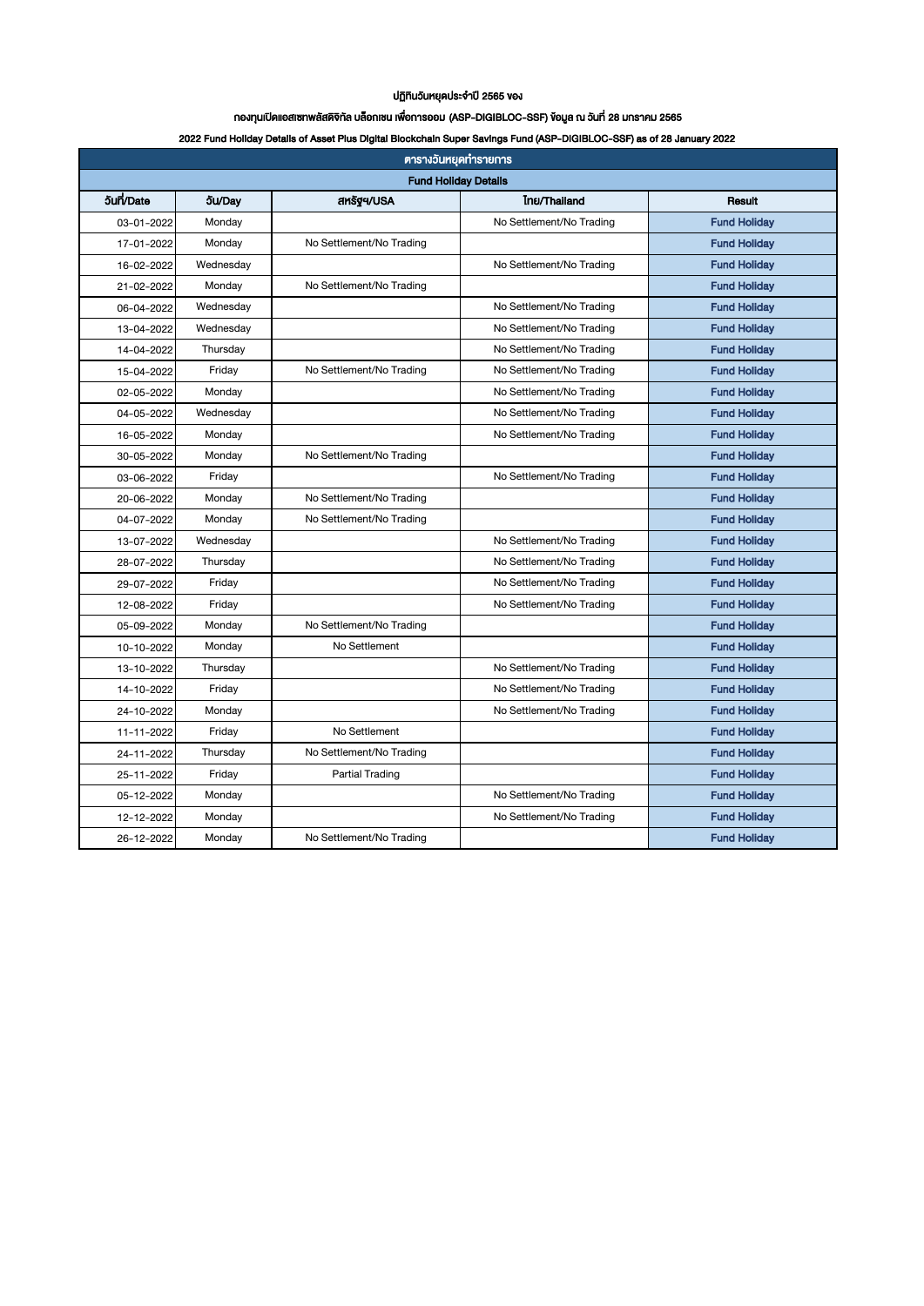#### ปฏิทินวันหยุดประจำปี 2565 ของ

## กองทุนเปิดแอสเซทพลัสดิจิทัล บล็อกเชน เพื่อกำรออม (ASP-DIGIBLOC-SSF) ข้อมูล ณ วันที่ 28 มกรำคม 2565

### 2022 Fund Holiday Details of Asset Plus Digital Blockchain Super Savings Fund (ASP-DIGIBLOC-SSF) as of 28 January 2022

| <b>ตารางวันหยุดทำรายการ</b> |               |                          |                          |                     |  |  |  |
|-----------------------------|---------------|--------------------------|--------------------------|---------------------|--|--|--|
| <b>Fund Holiday Details</b> |               |                          |                          |                     |  |  |  |
| 5un/Date                    | <b>Ju/Day</b> | ansgq/USA                | Inu/Thailand             | Result              |  |  |  |
| 03-01-2022                  | Monday        |                          | No Settlement/No Trading | <b>Fund Holiday</b> |  |  |  |
| 17-01-2022                  | Monday        | No Settlement/No Trading |                          | <b>Fund Holiday</b> |  |  |  |
| 16-02-2022                  | Wednesday     |                          | No Settlement/No Trading | <b>Fund Holiday</b> |  |  |  |
| 21-02-2022                  | Monday        | No Settlement/No Trading |                          | <b>Fund Holiday</b> |  |  |  |
| 06-04-2022                  | Wednesday     |                          | No Settlement/No Trading | <b>Fund Holiday</b> |  |  |  |
| 13-04-2022                  | Wednesday     |                          | No Settlement/No Trading | <b>Fund Holiday</b> |  |  |  |
| 14-04-2022                  | Thursday      |                          | No Settlement/No Trading | <b>Fund Holiday</b> |  |  |  |
| 15-04-2022                  | Friday        | No Settlement/No Trading | No Settlement/No Trading | <b>Fund Holiday</b> |  |  |  |
| 02-05-2022                  | Monday        |                          | No Settlement/No Trading | <b>Fund Holiday</b> |  |  |  |
| 04-05-2022                  | Wednesday     |                          | No Settlement/No Trading | <b>Fund Holiday</b> |  |  |  |
| 16-05-2022                  | Monday        |                          | No Settlement/No Trading | <b>Fund Holiday</b> |  |  |  |
| 30-05-2022                  | Monday        | No Settlement/No Trading |                          | <b>Fund Holiday</b> |  |  |  |
| 03-06-2022                  | Friday        |                          | No Settlement/No Trading | <b>Fund Holiday</b> |  |  |  |
| 20-06-2022                  | Monday        | No Settlement/No Trading |                          | <b>Fund Holiday</b> |  |  |  |
| 04-07-2022                  | Monday        | No Settlement/No Trading |                          | <b>Fund Holiday</b> |  |  |  |
| 13-07-2022                  | Wednesday     |                          | No Settlement/No Trading | <b>Fund Holiday</b> |  |  |  |
| 28-07-2022                  | Thursday      |                          | No Settlement/No Trading | <b>Fund Holiday</b> |  |  |  |
| 29-07-2022                  | Friday        |                          | No Settlement/No Trading | <b>Fund Holiday</b> |  |  |  |
| 12-08-2022                  | Friday        |                          | No Settlement/No Trading | <b>Fund Holiday</b> |  |  |  |
| 05-09-2022                  | Monday        | No Settlement/No Trading |                          | <b>Fund Holiday</b> |  |  |  |
| 10-10-2022                  | Monday        | No Settlement            |                          | <b>Fund Holiday</b> |  |  |  |
| 13-10-2022                  | Thursday      |                          | No Settlement/No Trading | <b>Fund Holiday</b> |  |  |  |
| 14-10-2022                  | Friday        |                          | No Settlement/No Trading | <b>Fund Holiday</b> |  |  |  |
| 24-10-2022                  | Monday        |                          | No Settlement/No Trading | <b>Fund Holiday</b> |  |  |  |
| 11-11-2022                  | Friday        | No Settlement            |                          | <b>Fund Holiday</b> |  |  |  |
| 24-11-2022                  | Thursday      | No Settlement/No Trading |                          | <b>Fund Holiday</b> |  |  |  |
| 25-11-2022                  | Friday        | <b>Partial Trading</b>   |                          | <b>Fund Holiday</b> |  |  |  |
| 05-12-2022                  | Monday        |                          | No Settlement/No Trading | <b>Fund Holiday</b> |  |  |  |
| 12-12-2022                  | Monday        |                          | No Settlement/No Trading | <b>Fund Holiday</b> |  |  |  |
| 26-12-2022                  | Monday        | No Settlement/No Trading |                          | <b>Fund Holiday</b> |  |  |  |